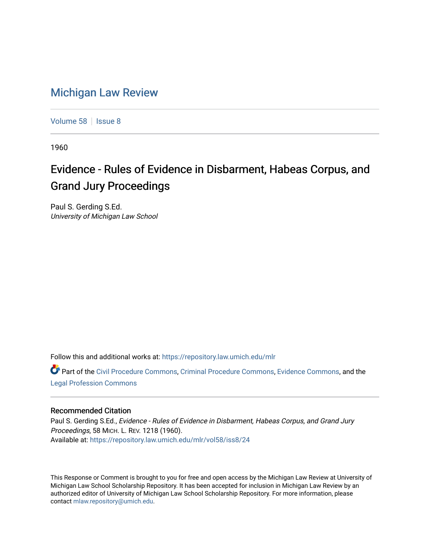## [Michigan Law Review](https://repository.law.umich.edu/mlr)

[Volume 58](https://repository.law.umich.edu/mlr/vol58) | [Issue 8](https://repository.law.umich.edu/mlr/vol58/iss8)

1960

# Evidence - Rules of Evidence in Disbarment, Habeas Corpus, and Grand Jury Proceedings

Paul S. Gerding S.Ed. University of Michigan Law School

Follow this and additional works at: [https://repository.law.umich.edu/mlr](https://repository.law.umich.edu/mlr?utm_source=repository.law.umich.edu%2Fmlr%2Fvol58%2Fiss8%2F24&utm_medium=PDF&utm_campaign=PDFCoverPages) 

Part of the [Civil Procedure Commons,](http://network.bepress.com/hgg/discipline/584?utm_source=repository.law.umich.edu%2Fmlr%2Fvol58%2Fiss8%2F24&utm_medium=PDF&utm_campaign=PDFCoverPages) [Criminal Procedure Commons](http://network.bepress.com/hgg/discipline/1073?utm_source=repository.law.umich.edu%2Fmlr%2Fvol58%2Fiss8%2F24&utm_medium=PDF&utm_campaign=PDFCoverPages), [Evidence Commons](http://network.bepress.com/hgg/discipline/601?utm_source=repository.law.umich.edu%2Fmlr%2Fvol58%2Fiss8%2F24&utm_medium=PDF&utm_campaign=PDFCoverPages), and the [Legal Profession Commons](http://network.bepress.com/hgg/discipline/1075?utm_source=repository.law.umich.edu%2Fmlr%2Fvol58%2Fiss8%2F24&utm_medium=PDF&utm_campaign=PDFCoverPages)

#### Recommended Citation

Paul S. Gerding S.Ed., Evidence - Rules of Evidence in Disbarment, Habeas Corpus, and Grand Jury Proceedings, 58 MICH. L. REV. 1218 (1960). Available at: [https://repository.law.umich.edu/mlr/vol58/iss8/24](https://repository.law.umich.edu/mlr/vol58/iss8/24?utm_source=repository.law.umich.edu%2Fmlr%2Fvol58%2Fiss8%2F24&utm_medium=PDF&utm_campaign=PDFCoverPages) 

This Response or Comment is brought to you for free and open access by the Michigan Law Review at University of Michigan Law School Scholarship Repository. It has been accepted for inclusion in Michigan Law Review by an authorized editor of University of Michigan Law School Scholarship Repository. For more information, please contact [mlaw.repository@umich.edu](mailto:mlaw.repository@umich.edu).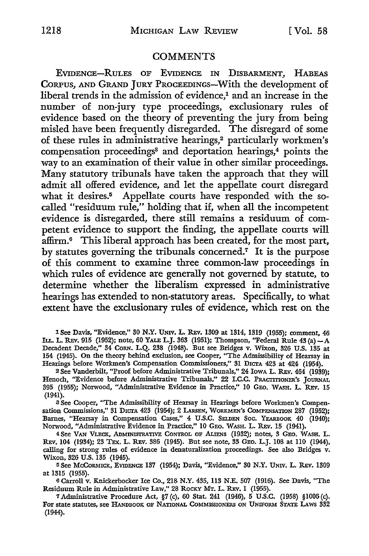#### **COMMENTS**

**EVIDENCE-RULES OF EVIDENCE IN DISBARMENT, HABEAS**  CoRPus, AND GRAND JuRY PROCEEDINGS-With the development of liberal trends in the admission of evidence,<sup>1</sup> and an increase in the number of non-jury type proceedings, exclusionary rules of evidence based on the theory of preventing the jury from being misled have been frequently disregarded. The disregard of some of these rules in administrative hearings,<sup>2</sup> particularly workmen's compensation proceedings<sup>3</sup> and deportation hearings,<sup>4</sup> points the way to an examination of their value in other similar proceedings. Many statutory tribunals have taken the approach that they will admit all offered evidence, and let the appellate court disregard what it desires.<sup>5</sup> Appellate courts have responded with the socalled "residuum rule," holding that if, when all the incompetent evidence is disregarded, there still remains a residuum of competent evidence to support the finding, the appellate courts will affirm.<sup>6</sup> This liberal approach has been created, for the most part, by statutes governing the tribunals concerned.7 It is the purpose of this comment to examine three common-law proceedings in which rules of evidence are generally not governed by statute, to determine whether the liberalism expressed in administrative hearings has extended to non-statutory areas. Specifically, to what extent have the exclusionary rules of evidence, which rest on the

1See Davis, "Evidence," 30 N.Y. UNIV. L. REv. 1309 at 1314, 1319 (1955); comment, 46 ILL. L. REv. 915 (1952); note, 60 YALE L.J. 363 (1951); Thompson, "Federal Rule 43 (a)-A Decadent Decade," 34 CoRN. L.Q. 238 (1948). But see Bridges v. Wixon, 326 U.S. 135 at 154 (1945). On the theory behind exclusion, see Cooper, "The Admissibility of Hearsay in Hearings before Workmen's Compensation Commissioners," 31 DICTA 423 at 424 (1954).

2 See Vanderbilt, "Proof before Administrative Tribunals," 24 IowA L. REv. 464 (1939); Henoch, "Evidence before Administrative Tribunals," 22 I.C.C. PRACTITIONER'S JOURNAL 395 (1955); Nonvood, "Administrative Evidence in Practice," 10 GEO. WASH. L. REv. 15 (1941).

3 See Cooper, "The Admissibility of Hearsay in Hearings before Workmen's Compensation Commissions," 31 DICTA 423 (1954); 2 LARSEN, WORKMEN'S COMPENSATION 287 (1952); Barnes, "Hearsay in Compensation Cases," 4 U.S.C. SELDEN Soc. YEARBOOK 40 (1940); Norwood, "Administrative Evidence in Practice," 10 GEO. WASH. L. REv. 15 (1941).

4See VANVLECK, ADMINISTRATIVE CONTROL OF ALIENS (1932); notes, 3 GEO. WASH, L. REv. 104 (1934); 23 TEX. L. REv. 386 (1945). But see note, 33 GEO. L.J. 108 at 110 (1944), calling for strong rules of evidence in denaturalization proceedings. See also Bridges v. Wixon, 326 U.S. 135 (1945).

5 See McCORMICK, EVIDENCE 137 (1954); Davis, "Evidence," 30 N.Y. UNIV. L. REv. 1309 at 1315 (1955).

6 Carroll v. Knickerbocker Ice Co., 218 N.Y. 435, 113 N.E. 507 (1916). See Davis, "The Residuum Rule in Administrative Law," 28 ROCKY MT. L. REv. 1 (1955).

7 Administrative Procedure Act, §7 (c), 60 Stat. 241 (1946), 5 U.S.C. (1958) §1006 (c). For state statutes, see HANDBOOK OF NATIONAL COMMISSIONERS ON UNIFORM STATE LAws 332 (1944).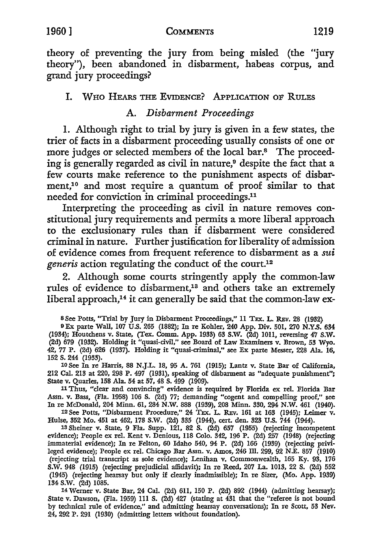theory of preventing the jury from being misled (the "jury theory"), been abandoned in disbarment, habeas corpus, and grand jury proceedings?

### I. WHO HEARS THE EVIDENCE? APPLICATION OF RULES

## A. *Disbarment Proceedings*

1. Although right to trial by jury is given in a few states, the trier of facts in a disbarment proceeding usually consists of one or more judges or selected members of the local bar.<sup>8</sup> The proceeding is generally regarded as civil in nature,<sup>9</sup> despite the fact that a few courts make reference to the punishment aspects of disbarment,10 and most require a quantum of proof similar to that needed for conviction in criminal proceedings.11

Interpreting the proceeding as civil in nature removes constitutional jury requirements and permits a more liberal approach to the exclusionary rules than if disbarment were considered criminal in nature. Further justification for liberality of admission of evidence comes from frequent reference to disbarment as a *sui generis* action regulating the conduct of the court.12

2. Although some courts stringently apply the common-law rules of evidence to disbarment,<sup>13</sup> and others take an extremely liberal approach,<sup>14</sup> it can generally be said that the common-law ex-

s See Potts, "Trial by Jury in Disbarment Proceedings," 11 TEX. L. REv. 28 (1932)

9Ex parte Wall, 107 U.S. 265 (1882); In re Kohler, 240 App. Div. 501, 270 N.Y.S. 634 (1934); Houtchens v. State, (Tex. Comm. App. 1933) 63 S.W. (2d) 1011, reversing 47 S.W. (2d) 679 (1932). Holding it "quasi-civil," see Board of Law Examiners v. Brown, 53 Wyo. 42, 77 P. (2d) 626 (1937). Holding it "quasi-criminal," see Ex parte Messer, 228 Ala. 16, 152 s. 244 (1933).

10 See In re Harris, 88 N.J.L. 18, 95 A. 761 (1915); Lantz v. State Bar of California, 212 Cal. 213 at 220, 298 P. 497 (1931), speaking of disbarment as "adequate punishment"; State v. Quarles, 158 Ala. 54 at 57, 48 S. 499 (1909).

11 Thus, "clear and convincing" evidence is required by Florida ex rel. Florida Bar Assn. v. Bass, (Fla. 1958) 106 S. (2d) 77; demanding "cogent and compelling proof," see In re McDonald, 204 Minn. 61,284 N.W. 888 (1939), 208 Minn. 330, 294 N.W. 461 (1940).

12 See Potts, "Disbarment Procedure," 24 TEX. L. R.Ev. 161 at 163 (1945); Leimer v. Hulse, 352 Mo. 451 at 462, 178 S.W. (2d) 335 (1944), cert. den. 323 U.S. 744 (1944).

13 Sheiner v. State, 9 Fla. Supp. 121, 82 S. (2d) 657 (1955) (rejecting incompetent evidence); People ex rel. Kent v. Denious, 118 Colo. 342, 196 P. (2d) 257 (1948) (rejecting immaterial evidence); In re Felton, 60 Idaho 540, 94 P. (2d) 166 (1939) (rejecting privileged evidence); People ex rel. Chicago Bar Assn. v. Amos, 246 Ill. 299, 92 N.E. 857 (1910) (rejecting trial transcript as sole evidence); Lenihan v. Commonwealth, 165 Ky. 93, 176 S.W. 948 (1915) (rejecting prejudicial affidavit); In re Reed, 207 La. 1013, 22 S. (2d) 552 (1945) (rejecting hearsay but only if clearly inadmissible); In re Sizer, (Mo. App. 1939) 134 S.W. (2d) 1085.

14 Werner v. State Bar, 24 Cal. (2d) 611, 150 P. (2d) 892 (1944) (admitting hearsay); State v. Dawson, (Fla. 1959) 111 S. (2d) 427 (stating at 431 that the "referee is not bound by technical rule of evidence," and admitting hearsay conversations); In re Scott, 53 Nev. 24, 292 P. 291 (1930) (admitting letters without foundation).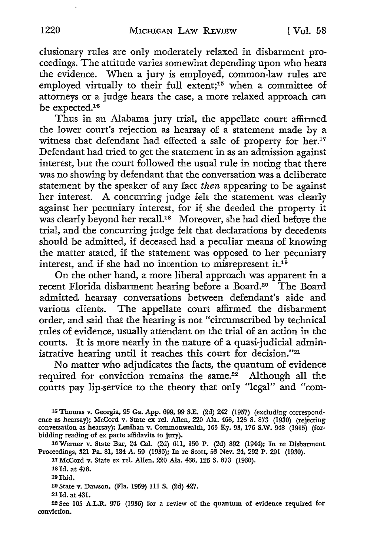clusionary rules are only moderately relaxed in disbarment proceedings. The attitude varies somewhat depending upon who hears the evidence. When a jury is employed, common-law rules are employed virtually to their full extent;<sup>15</sup> when a committee of attorneys or a judge hears the case, a more relaxed approach can be expected.<sup>16</sup>

Thus in an Alabama jury trial, the appellate court affirmed the lower court's rejection as hearsay of a statement made by a witness that defendant had effected a sale of property for her.<sup>17</sup> Defendant had tried to get the statement in as an admission against interest, but the court followed the usual rule in noting that there was no showing by defendant that the conversation was a deliberate statement by the speaker of any fact *then* appearing to be against her interest. A concurring judge felt the statement was clearly against her pecuniary interest, for if she deeded the property it was clearly beyond her recall.18 Moreover, she had died before the trial, and the concurring judge felt that declarations by decedents should be admitted, if deceased had a peculiar means of knowing the matter stated, if the statement was opposed to her pecuniary interest, and if she had no intention to misrepresent it.<sup>19</sup>

On the other hand, a more liberal approach was apparent in a recent Florida disbarment hearing before a Board.<sup>20</sup> The Board admitted hearsay conversations between defendant's aide and various clients. The appellate court affirmed the disbarment order, and said that the hearing is not "circumscribed by technical rules of evidence, usually attendant on the trial of an action in the courts. It is more nearly in the nature of a quasi-judicial administrative hearing until it reaches this court for decision."21

No matter who adjudicates the facts, the quantum of evidence required for conviction remains the same. $22^{\degree}$  Although all the courts pay lip-service to the theory that only "legal" and "com-

17 McCord v. State ex rel. Allen, 220 Ala. 466, 126 S. 873 (1930).

18 Id. at 478.

19Ibid.

20 State v. Dawson, (Fla. 1959) 111 S. (2d) 427.

21 Id. at 431.

<sup>15</sup> Thomas v. Georgia, 95 Ga. App. 699, 99 S.E. (2d) 242 (1957) {excluding correspondence as hearsay); McCord v. State ex rel. Allen, 220 Ala. 466, 126 S. 873 (1930) (rejecting conversation as hearsay); Lenihan v. Commonwealth, 165 Ky. 93, 176 S.W. 948 (1915) (forbidding reading of ex parte affidavits to jury).

<sup>16</sup>Wemer v. State Bar, 24 Cal. (2d) 611, 150 P. (2d) 892 (1944); In re Disbarment Proceedings, 321 Pa. 81, 184 A. 59 (1936); In re Scott, 53 Nev. 24, 292 P. 291 (1930).

<sup>22</sup> See 105 A.L.R. 976 (1936) for a review of the quantum of evidence required for conviction.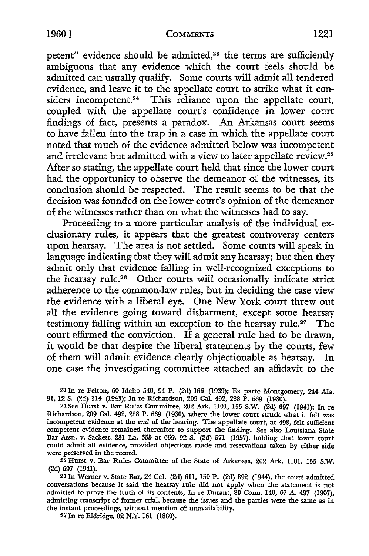petent" evidence should be admitted,<sup>23</sup> the terms are sufficiently ambiguous that any evidence which the court feels should be admitted can usually qualify. Some courts will admit all tendered evidence, and leave it to the appellate court to strike what it considers incompetent.<sup>24</sup> This reliance upon the appellate court, coupled with the appellate court's confidence in lower court findings of fact, presents a paradox. An Arkansas court seems to have fallen into the trap in a case in which the appellate court noted that much of the evidence admitted below was incompetent and irrelevant but admitted with a view to later appellate review.<sup>25</sup> After so stating, the appellate court held that since the lower court had the opportunity to observe the demeanor of the witnesses, its conclusion should be respected. The result seems to be that the decision was founded on the lower court's opinion of the demeanor of the witnesses rather than on what the witnesses had to say.

Proceeding to a more particular analysis of the individual exclusionary rules, it appears that the greatest controversy centers upon hearsay. The area is not settled. Some courts will speak in language indicating that they will admit any hearsay; but then they admit only that evidence falling in well-recognized exceptions to the hearsay rule.26 Other courts will occasionally indicate strict adherence to the common-law rules, but in deciding the case view the evidence with a liberal eye. One New York court threw out all the evidence going toward disbarment, except some hearsay testimony falling within an exception to the hearsay rule.<sup>27</sup> The court affirmed the conviction. If a general rule had to be drawn, it would be that despite the liberal statements by the courts, few of them will admit evidence clearly objectionable as hearsay. In one case the investigating committee attached an affidavit to the

23In re Felton, 60 Idaho 540, 94 P. (2d) 166 (1939); Ex parte Montgomery, 244 Ala. 91, 12 S. (2d) 314 (1943); In re Richardson, 209 Cal. 492, 288 P. 669 (1930).

24 See Hurst v. Bar Rules Committee, 202 Ark. 1101, 155 S.W. (2d) 697 (1941); In re Richardson, 209 Cal. 492, 288 P. 669 (1930), where the lower court struck what it felt was incompetent evidence at the *end* of the hearing. The appellate court, at 498, felt sufficient competent evidence remained thereafter to support the finding. See also Louisiana State Bar Assn. v. Sackett, 231 La. 655 at 659, 92 S. (2d) 571 (1957), holding that lower court could admit all evidence, provided objections made and reservations taken by either side were preserved in the record.

25 Hurst v. Bar Rules Committee of the State of Arkansas, 202 Ark. 1101, 155 S.W. (2d) 697 (1941).

<sup>26</sup>In Werner v. State Bar, 24 Cal. (2d) 611, 150 P. (2d) 892 (1944), the court admitted conversations because it said the hearsay rule did not apply when the statement is not admitted to prove the truth of its contents; In re Durant, 80 Conn. 140, 67 A. 497 (1907), admitting transcript of former trial, because the issues and the parties were the same as in the instant proceedings, without mention of unavailability.

27 In re Eldridge, 82 N.Y. 161 (1880).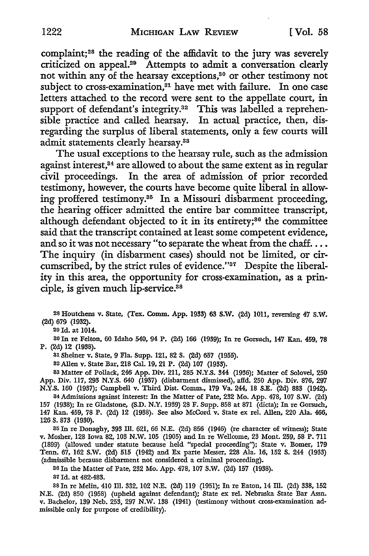complaint;28 the reading of the affidavit to the jury was severely criticized on appeal.29 Attempts to admit a conversation clearly not within any of the hearsay exceptions,<sup>30</sup> or other testimony not subject to cross-examination,<sup>31</sup> have met with failure. In one case letters attached to the record were sent to the appellate court, in support of defendant's integrity.<sup>32</sup> This was labelled a reprehensible practice and called hearsay. In actual practice, then, disregarding the surplus of liberal statements, only a few courts will admit statements clearly hearsay.83

The usual exceptions to the hearsay rule, such as the admission against interest,<sup>34</sup> are allowed to about the same extent as in regular civil proceedings. In the area of admission of prior recorded testimony, however, the courts have become quite liberal in allowing proffered testimony.35 In a Missouri disbarment proceeding, the hearing officer admitted the entire bar committee transcript, although defendant objected to it in its entirety;<sup>36</sup> the committee said that the transcript contained at least some competent evidence, and so it was not necessary "to separate the wheat from the chaff.... The inquiry (in disbarment cases) should not be limited, or circumscribed, by the strict rules of evidence.''37 Despite the liberality in this area, the opportunity for cross-examination, as a principle, is given much lip-service.<sup>38</sup>

28 Houtchens v. State, (Tex. Comm. App. 1933) 63 S.W. (2d) 1011, reversing 47 S.W. (2d) 679 (1932).

29 Id. at 1014.

SO In re Felton, 60 Idaho 540, 94 P. (2d) 166 (1939); In re Gorsuch, 147 Kan. 459, 78 P. (2d) 12 (1938).

31 Sheiner v. State, 9 Fla. Supp. 121, 82 S. (2d) 657 (1955).

82 Allen v. State Bar, 218 Cal. 19, 21 P. (2d) 107 (1933).

33 Matter of Pollack, 246 App. Div. 2II, 285 N.Y.S. 344 (1936); Matter of Solovei, 250 App. Div. II7, 293 N.Y.S. 640 (1937) (disbarment dismissed), affd. 250 App. Div. 876, 297 N.Y.S. 160 (1937); Campbell v. Third Dist. Comm., 179 Va. 244, 18 S.E. (2d) 883 (1942).

<sup>34</sup>Admissions against interest: In the Matter of Pate, 232 Mo. App. 478, 107 S.W. (2d) 157 (1938); In re Gladstone, (S.D. N.Y. 1939) 28 F. Supp. 858 at 871 (dicta); In re Gorsuch, 147 Kan. 459, 78 P. (2d) 12 (1938). See also McCord v. State ex rel. Allen, 220 Ala. 466, 126 s. 873 (1930).

<sup>85</sup>In re Donaghy, 393 Ill. 621, 66 N.E. (2d) 856 (1946) (re character of witness); State v. Mosher, 128 Iowa 82, 103 N.W. 105 (1905) and In re Wellcome, 23 Mont. 259, 58 P. 7II (1899) (allowed under statute because held "special proceeding"); State v. Bomer, 179 Tenn. 67, 162 S.W. (2d) 515 (1942) and Ex parte Messer, 228 Ala. 16, 152 S. 244 (1933) (admissible because disbarment not considered a criminal proceeding).

<sup>86</sup>In the Matter of Pate, 232 Mo. App. 478, 107 S.W. (2d) 157 (1938).

87 Id. at 482-483.

88 In re Melin, 410 Ill. 332, 102 N.E. (2d) ll9 (1951); In re Eaton, 14 Ill. (2d) 338, 152 N.E. (2d) 850 (1958) (upheld against defendant); State ex rel. Nebraska State Bar Assn. v. Bachelor, 139 Neb. 253, 297 N.W. 138 (1941) (testimony without cross-examination admissible only for purpose of credibility).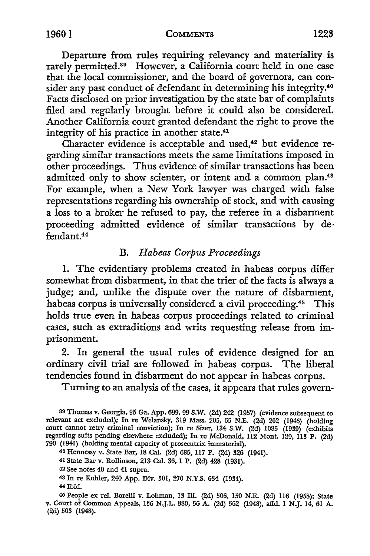Departure from rules requiring relevancy and materiality is rarely permitted.89 However, a California court held in one case that the local commissioner, and the board of governors, can consider any past conduct of defendant in determining his integrity.<sup>40</sup> Facts disclosed on prior investigation by the state bar of complaints filed and regularly brought before it could also be considered. Another California court granted defendant the right to prove the integrity of his practice in another state.<sup>41</sup>

Character evidence is acceptable and used,<sup>42</sup> but evidence regarding similar transactions meets the same limitations imposed in other proceedings. Thus evidence of similar transactions has been admitted only to show scienter, or intent and a common plan.43 For example, when a New York lawyer was charged with false representations regarding his ownership of stock, and with causing a loss to a broker he refused to pay, the referee in a disbarment proceeding admitted evidence of similar transactions by defendant.44

## B. *Habeas Corpus Proceedings*

1. The evidentiary problems created in habeas corpus differ somewhat from disbarment, in that the trier of the facts is always a judge; and, unlike the dispute over the nature of disbarment, habeas corpus is universally considered a civil proceeding.<sup>45</sup> This holds true even in habeas corpus proceedings related to criminal cases, such as extraditions and writs requesting release from imprisonment.

2. In general the usual rules of evidence designed for an ordinary civil trial are followed in habeas corpus. The liberal tendencies found in disbarment do not appear in habeas corpus.

Turning to an analysis of the cases, it appears that rules govern-

<sup>39</sup> Thomas v. Georgia, 95 Ga. App. 699, 99 S.W. (2d) 242 (1957) (evidence subsequent to relevant act excluded); In re Welansk.y, 319 Mass. 205, 65 N.E. (2d) 202 (1946) (holding court cannot retry criminal conviction); In re Sizer, 134 S.W. (2d) 1085 (1939) (exhibits regarding suits pending elsewhere excluded); In re McDonald, ll2 Mont. 129, II3 P. (2d) 790 (1941) (holding mental capacity of prosecutrix immaterial).

<sup>40</sup> Hennessy v. State Bar, 18 Cal. (2d) 685, II7 P. (2d) 326 (1941).

<sup>41</sup> State Bar v. Rollinson, 213 Cal. 36, 1 P. (2d) 428 (1931).

<sup>42</sup> See notes 40 and 41 supra.

<sup>43</sup> In re Kohler, 240 App. Div. 501, 270 N.Y.S. 634 (1934).

<sup>44</sup>Ibid.

<sup>45</sup> People ex rel. Borelli v. Lohman, 13 Ill. (2d) 506, 150 N.E. (2d) ll6 (1958); State v. Court of Common Appeals, 136 N.J.L. 380, 56 A. (2d) 562 (1948), affd. 1 N.J. 14, 61 A. (2d) 503 (1948).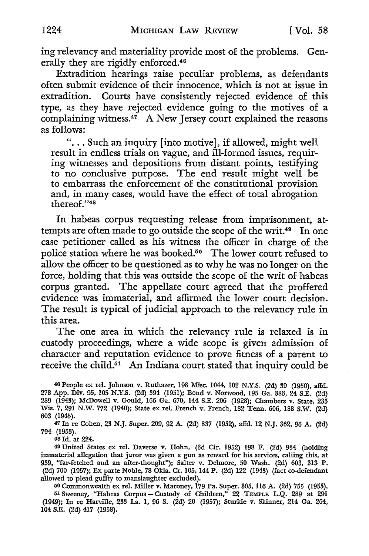ing relevancy and materiality provide most of the problems. Generally they are rigidly enforced.46

Extradition hearings raise peculiar problems, as defendants often submit evidence of their innocence, which is not at issue in extradition. Courts have consistently rejected evidence of this type, as they have rejected evidence going to the motives of a complaining witness.<sup>47</sup> A New Jersey court explained the reasons as follows:

"... Such an inquiry [into motive], if allowed, might well result in endless trials on vague, and ill-formed issues, requiring witnesses and depositions from distant points, testifying to no conclusive purpose. The end result might well be to embarrass the enforcement of the constitutional provision and, in many cases, would have the effect of total abrogation thereof. "48

In habeas corpus requesting release from imprisonment, attempts are often made to go outside the scope of the writ.49 In one case petitioner called as his witness the officer in charge of the police station where he was booked.<sup>50</sup> The lower court refused to allow the officer to be questioned as to why he was no longer on the force, holding that this was outside the scope of the writ of habeas corpus granted. The appellate court agreed that the proffered evidence was immaterial, and affirmed the lower court decision. The result is typical of judicial approach to the relevancy rule in this area.

The one area in which the relevancy rule is relaxed is in custody proceedings, where a wide scope is given admission of character and reputation evidence to prove fitness of a parent to receive the child.<sup>51</sup> An Indiana court stated that inquiry could be

46 People ex rel. Johnson v. Ruthazer, 198 Misc. 1044, 102 N.Y.S. (2d) 39 (1950), affd. 278 App. Div. 95, 105 N.Y.S. (2d) 394 (1951); Bond v. Norwood, 195 Ga. 383, 24 S.E. (2d) 289 (1943); McDowell v. Gould, 166 Ga. 670, 144 S.E. 206 (1928); Chambers v. State, 235 Wis. 7, 291 N.W. 772 (1940); State ex rel. French v. French, 182 Tenn. 606, 188 S.W. (2d) 603 (1945).

47In re Cohen, 23 N.J. Super. 209, 92 A. (2d) 837 (1952), affd. 12 N.J. 362, 96 A. (2d) 794 (1953).

48 Id. at 224.

49 United States ex rel. Daverse v. Hohn, (3d Cir. 1952) 198 F. (2d) 934 (holding immaterial allegation that juror was given a gun as reward for his services, calling this, at 939, "far-fetched and an after-thought"); Salter v. Delmore, 50 Wash. (2d) 603, 313 P. (2d) 700 (1957); Ex parte Noble, 78 Okla. Cr. 105, 144 P. (2d) 122 (1943) (fact co-defendant allowed to plead guilty to manslaughter excluded).

50 Commonwealth ex rel. Miller v. Maroney, 179 Pa. Super. 305, 116 A. (2d) 755 (1955). 51 Sweeney, "Habeas Corpus - Custody of Children," 22 TEMPLE L.Q. 289 at 291 (1949); In re Harville, 233 La. 1, 96 S. (2d) 20 (1957); Sturkie v. Skinner, 214 Ga. 264, 104 S.E. (2d) 417 (1958).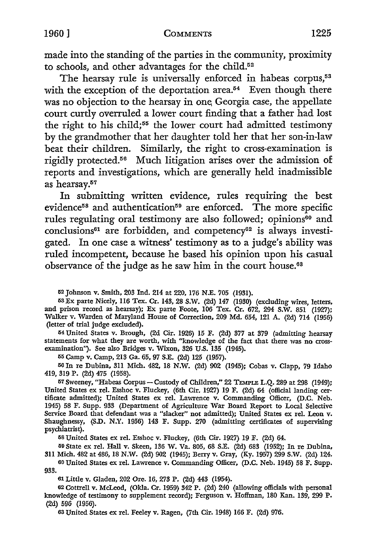made into the standing of the parties in the community, proximity to schools, and other advantages for the child.<sup>52</sup>

The hearsay rule is universally enforced in habeas corpus,<sup>53</sup> with the exception of the deportation area.<sup>54</sup> Even though there was no objection to the hearsay in one Georgia case, the appellate court curtly overruled a lower court finding that a father had lost the right to his child;55 the lower court had admitted testimony by the grandmother that her daughter told her that her son-in-law beat their children. Similarly, the right to cross-examination is rigidly protected.56 Much litigation arises over the admission of reports and investigations, which are generally held inadmissible as hearsay.57

In submitting written evidence, rules requiring the best evidence<sup>58</sup> and authentication<sup>59</sup> are enforced. The more specific rules regulating oral testimony are also followed; opinions<sup>60</sup> and  $\text{conclusions}^{\text{61}}$  are forbidden, and  $\text{compactness}^{\text{62}}$  is always investigated. In one case a witness' testimony as to a judge's ability was ruled incompetent, because he based his opinion upon his casual observance of the judge as he saw him in the court house.<sup>63</sup>

52 Johnson v. Smith, 203 Ind. 214 at 220, 176 N.E. 705 (1931).

53Ex parte Nicely, 116 Tex. Cr. 143, 28 S.W. (2d) 147 (1930) (excluding wires, letters, and prison record as hearsay); Ex parte Foote, 106 Tex. Cr. 672, 294 S.W. 851 (1927); Walker v. Warden of Maryland House of Correction, 209 Md. 654, 121 A. (2d) 714 (1956) (letter of trial judge excluded).

54 United States v. Brough, (2d Cir. 1926) 15 F. (2d) 377 at 379 (admitting hearsay statements for what they are worth, with "knowledge of the fact that there was no crossexamination"). See also Bridges v. Wixon, 326 U.S. 135 (1945).

55 Camp v. Camp, 213 Ga. 65, 97 S.E. (2d) 125 (1957).

<sup>56</sup>In re Dubina, 311 Mich. 482, 18 N.W. (2d) 902 (1945); Cobas v. Clapp, 79 Idaho 419, 319 P. (2d) 475 (1958).

57 Sweeney, "Habeas Corpus - Custody of Children," 22 TEMPLE L.Q. 289 at 298 (1949); United States ex rel. Esshoc v. Fluckey, (6th Cir. 1927) 19 F. (2d) 64 (official landing certificate admitted); United States ex rel. Lawrence v. Commanding Officer, (D.C. Neb. 1945) 58 F. Supp. 933 (Department of Agriculture War Board Report to Local Selective Service Board that defendant was a "slacker" not admitted); United States ex rel. Leon v. Shaughnessy, (S.D. N.Y. 1956) 143 F. Supp. 270 (admitting certificates of supervising psychiatrist).

58 United States ex rel. Esshoc v. Fluckey, (6th Cir. 1927) 19 F. (2d) 64.

59 State ex rel. Hall v. Skeen, 136 W. Va. 805, 68 S.E. (2d) 683 (1952); In re Dubina, 311 Mich. 482 at 486, 18 N.W. (2d) 902 (1945); Berry v. Gray, (Ky. 1957) 299 S.W. (2d) 124.

60 United States ex rel. Lawrence v. Commanding Officer, (D.C. Neb. 1945) 58 F. Supp. 933.

61 Little v. Gladen, 202 Ore. 16, 273 P. (2d) 443 (1954).

62 Cottrell v. McLeod, (Okla. Cr. 1959) 342 P. (2d) 240 (allowing officials with personal knowledge of testimony to supplement record); Ferguson v. Hoffman, 180 Kan. 139, 299 P. (2d) 596 (1956).

63 United States ex rel. Feeley v. Ragen, (7th Cir. 1948) 166 F. (2d) 976.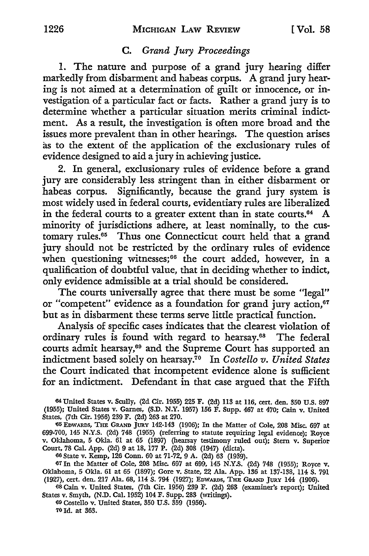## C. *Grand Jury Proceedings*

I. The nature and purpose of a grand jury hearing differ markedly from disbarment and habeas corpus. A grand jury hearing is not aimed at a determination of guilt or innocence, or investigation of a particular fact or facts. Rather a grand jury is to determine whether a particular situation merits criminal indictment. As a result, the investigation is often more broad and the issues more prevalent than in other hearings. The question arises as to the extent of the application of the exclusionary rules of evidence designed to aid a jury in achieving justice.

2. In general, exclusionary rules of evidence before a grand jury are considerably less stringent than in either disbarment or habeas corpus. Significantly, because the grand jury system is most widely used in federal courts, evidentiary rules are liberalized in the federal courts to a greater extent than in state courts. $64$  A minority of jurisdictions adhere, at least nominally, to the customary rules.65 Thus one Connecticut court held that a grand jury should not be restricted by the ordinary rules of evidence when questioning witnesses;<sup>66</sup> the court added, however, in a qualification of doubtful value, that in deciding whether to indict, only evidence admissible at a trial should be considered.

The courts universally agree that there must be some "legal" or "competent" evidence as a foundation for grand jury action,<sup>67</sup> but as in disbarment these terms serve little practical function.

Analysis of specific cases indicates that the clearest violation of ordinary rules is found with regard to hearsay.68 The federal courts admit hearsay,<sup>69</sup> and the Supreme Court has supported an indictment based solely on hearsay.70 In *Costello v. United States*  the Court indicated that incompetent evidence alone is sufficient for an indictment. Defendant in that case argued that the Fifth

<sup>64</sup>United States v. Scully, (2d Cir. 1955) 225 F. (2d) 113 at 116, cert. den. 350 U.S. 897 (1955); United States v. Garnes, (S.D. N.Y. 1957) 156 F. Supp. 467 at 470; Cain v. United States, (7th Cir. 1956) 239 F. (2d) 263 at 270.

<sup>65</sup>EDWARDS, THE GRAND JURY 142-143 (1906); In the Matter of Cole, 208 Misc. 697 at 699-700, 145 N.Y.S. (2d) 748 (1955) (referring to statute requiring legal evidence); Royce v. Oklahoma, 5 Okla. 61 at 65 (1897) (hearsay testimony ruled out); Stern v. Superior Court, 78 Cal. App. (2d) 9 at 18, 177 P. (2d) 308 (1947) (dicta).

66 State v. Kemp, 126 Conn. 60 at 71-72, 9 A. (2d) 63 (1939).

67 In the Matter of Cole, 208 Misc. 697 at 699, 145 N.Y.S. (2d) 748 (1955); Royce v. Oklahoma, 5 Okla. 61 at 65 (1897); Gore v. State, 22 Ala. App. 136 at 137-138, 114 S. 791 (1927), cert. den. 217 Ala. 68, 114 S. 794 (1927); EDWARDS, THE GRAND JURY 144 (1906).

68 Cain v. United States, (7th Cir. 1956) 239 F. (2d) 263 (examiner's report); United States v. Smyth, (N.D. Cal. 1952) 104 F. Supp. 283 (writings).

69 Costello v. United States, 350 U.S. 359 (1956). *10* Id. at 363.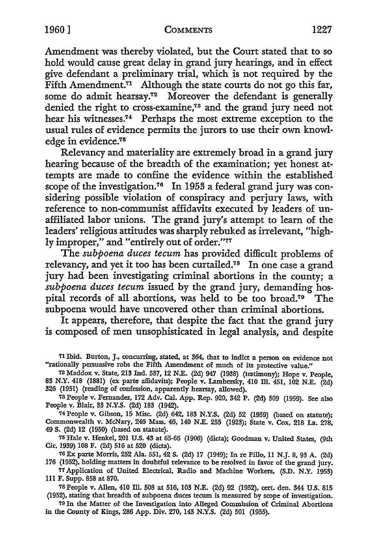Amendment was thereby violated, but the Court stated that to so hold would cause great delay in grand jury hearings, and in effect give defendant a preliminary trial, which is not required by the Fifth Amendment.<sup>71</sup> Although the state courts do not go this far, some do admit hearsay.<sup>72</sup> Moreover the defendant is generally denied the right to cross-examine,73 and the grand jury need not hear his witnesses.74 Perhaps the most extreme exception to the usual rules of evidence permits the jurors to use their own knowledge in evidence.<sup>75</sup>

Relevancy and materiality are extremely broad in a grand jury hearing because of the breadth of the examination; yet honest attempts are made to confine the evidence within the established scope of the investigation.<sup>76</sup> In 1953 a federal grand jury was considering possible violation of conspiracy and perjury laws, with reference to non-communist affidavits executed by leaders of unaffiliated labor unions. The grand jury's attempt to learn of the leaders' religious attitudes was sharply rebuked as irrelevant, "highly improper," and "entirely out of order."77

The *subpoena duces tecum* has provided difficult problems of relevancy, and yet it too has been curtailed.78 In one case a grand jury had been investigating criminal abortions in the county; a *subpoena duces tecum* issued by the grand jury, demanding hospital records of all abortions, was held to be too broad.79 The subpoena would have uncovered other than criminal abortions.

It appears, therefore, that despite the fact that the grand jury is composed of men unsophisticated in legal analysis, and despite

72 Maddox v. State, 213 Ind. 537, 12 N.E. (2d) 947 (1938) (testimony); Hope v. People, 83 N.Y. 418 (1881) (ex parte affidavits); People v. Lambersky, 410 ID. 451, 102 N.E. (2d) 326 (1951) (reading of confession, apparently hearsay, allowed).

73People v. Fernandez, 172 Adv. Cal. App. Rep. 920, 342 P. (2d) 309 (1959). See also People v. Blair, 33 N.Y.S. (2d) 183 (1942).

74 People v. Gibson, 15 Misc. (2d) 642, 183 N.Y.S. (2d) 52 (1959) (based on statute); Commonwealth v. McNary, 246 Mass. 46, 140 N.E. 255 (1923); State v. Cox, 218 La. 278, 49 S. (2d) 12 (1950) (based on statute).

<sup>75</sup>Hale v. Henkel, 201 U.S. 43 at 65-66 (1906) (dicta); Goodman v. United States, (9th Cir. 1939) 108 F. (2d) 516 at 520 (dicta).

76 Ex parte Morris, 252 Ala. 551, 42 S. (2d) 17 (1949); In re Pillo, 11 N.J. 8, 93 A. (2d) 176 (1952), holding matters in doubtful relevance to be resolved in favor of the grand jury.

77 Application of United Electrical, Radio and Machine Workers, (S.D. N.Y. 1953) 111 F. Supp. 858 at 870.

78 People v. Allen, 410 m. 508 at 516, 103 N.E. (2d) 92 (1952), cert. den. 344 U.S. 815 (1952), stating that breadth of subpoena duces tecum is measured by scope of investigation.

79 In the Matter of the Investigation into Alleged Commission of Criminal Abortions in the County of Kings, 286 App. Div. 270, 143 N.Y.S. (2d) 501 (1955).

<sup>71</sup> Ibid. Burton, J., concurring, stated, at 364, that to indict a person on evidence not "rationally persuasive robs the Fifth Amendment of much of its protective value."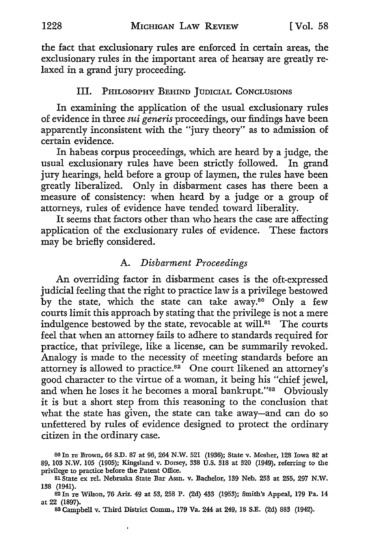the fact that exclusionary rules are enforced in certain areas, the exclusionary rules in the important area of hearsay are greatly relaxed in a grand jury proceeding.

#### III. PHILOSOPHY BEHIND JUDICIAL CONCLUSIONS

In examining the application of the usual exclusionary rules of evidence in three *sui generis* proceedings, our findings have been apparently inconsistent with the "jury theory" as to admission of certain evidence.

In habeas corpus proceedings, which are heard by a judge, the usual exclusionary rules have been strictly followed. In grand jury hearings, held before a group of laymen, the rules have been greatly liberalized. Only in disbarment cases has there been a measure of consistency: when heard by a judge or a group of attorneys, rules of evidence have tended toward liberality.

It seems that factors other than who hears the case are affecting application of the exclusionary rules of evidence. These factors may be briefly considered.

#### A. *Disbarment Proceedings*

An overriding factor in disbarment cases is the oft-expressed judicial feeling that the right to practice law is a privilege bestowed by the state, which the state can take away.<sup>80</sup> Only a few courts limit this approach by stating that the privilege is not a mere indulgence bestowed by the state, revocable at will.<sup>81</sup> The courts feel that when an attorney fails to adhere to standards required for practice, that privilege, like a license, can be summarily revoked. Analogy is made to the necessity of meeting standards before an attorney is allowed to practice.82 One court likened an attorney's good character to the virtue of a woman, it being his "chief jewel, and when he loses it he becomes a moral bankrupt."83 Obviously it is but a short step from this reasoning to the conclusion that what the state has given, the state can take away-and can do so unfettered by rules of evidence designed to protect the ordinary citizen in the ordinary case.

 $\bullet$ 

<sup>80</sup>In re Brown, 64 S.D. 87 at 96, 264 N.W. 521 (1936); State v. Mosher, 128 Iowa 82 at 89, 103 N.W. 105 (1905); Kingsland v. Dorsey, 338 U.S. 318 at 320 (1949), referring to the privilege to practice before the Patent Office.

<sup>81</sup> State ex rel. Nebraska State Bar Assn. v. Bachelor, 139 Neb. 253 at 255, 297 N.W. 138 (1941).

<sup>82</sup>In re Wilson, 76 Ariz. 49 at 53, 258 P. (2d) 433 (1953); Smith's Appeal, 179 Pa. 14 at 22 (1897).

<sup>83</sup> Campbell v. Third District Comm., 179 Va. 244 at 249, 18 S.E. (2d) 883 (1942).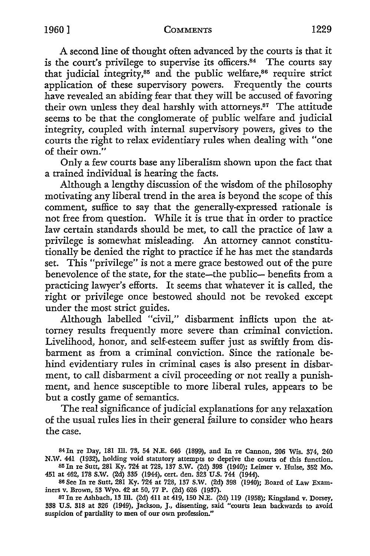A second line of thought often advanced by the courts is that it is the court's privilege to supervise its officers.<sup>84</sup> The courts say that judicial integrity,<sup>85</sup> and the public welfare,<sup>86</sup> require strict application of these supervisory powers. Frequently the courts have revealed an abiding fear that they will be accused of favoring their own unless they deal harshly with attorneys.87 The attitude seems to be that the conglomerate of public welfare and judicial integrity, coupled with internal supervisory powers, gives to the courts the right to relax evidentiary rules when dealing with "one of their own."

Only a few courts base any liberalism shown upon the fact that a trained individual is hearing the facts.

Although a lengthy discussion of the wisdom of the philosophy motivating any liberal trend in the area is beyond the scope of this comment, suffice to say that the generally-expressed rationale is not free from question. While it is true that in order to practice law certain standards should be met, to call the practice of law a privilege is somewhat misleading. An attorney cannot constitutionally be denied the right to practice if he has met the standards set. This "privilege" is not a mere grace bestowed out of the pure benevolence of the state, for the state-the public- benefits from a practicing lawyer's efforts. It seems that whatever it is called, the right or privilege once bestowed should not be revoked except under the most strict guides.

Although labelled "civil," disbarment inflicts upon the attorney results frequently more severe than criminal conviction. Livelihood, honor, and self-esteem suffer just as swiftly from disbarment as from a criminal conviction. Since the rationale behind evidentiary rules in criminal cases is also present in disbarment, to call disbarment a civil proceeding or not really a punishment, and hence susceptible to more liberal rules, appears to be but a costly game of semantics.

The real significance of judicial explanations for any relaxation of the usual rules lies in their general failure to consider who hears the case.

84 In re Day, 181 Ill. 73, 54 N.E. 646 (1899), and In re Cannon, 206 Wis. 374, 240 **N.W.** 441 (1932), holding void statutory attempts to deprive the courts of this function. 85 In re Sutt, 281 Ky. 724 at 728, 137 S.W. (2d) 398 (1940); Leimer v. Hulse, 352 Mo.

451 at 462, 178 S.W. (2d) 335 (1944), cert. den. 323 U.S. 744 (1944).

86 See In re Sutt, 281 Ky. 724 at 728, 137 S.W. (2d) 398 (1940); Board of Law Examiners v. Brown, 53 Wyo. 42 at 50, 77 P. (2d) 626 (1937).

<sup>87</sup>In re Ashbach, 13 Ill. (2d) 411 at 419, 150 N .E. (2d) 119 (1958); Kingsland v. Dorsey, 338 U.S. 318 at 326 (1949), Jackson, J., dissenting, said "courts lean backwards to avoid suspicion of partiality to men of our own profession."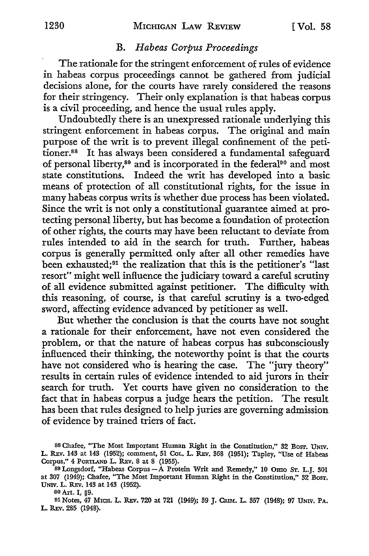### B. *Habeas Corpus Proceedings*

The rationale for the stringent enforcement of rules of evidence in habeas corpus proceedings cannot be gathered from judicial decisions alone, for the courts have rarely considered the reasons for their stringency. Their only explanation is that habeas corpus is a civil proceeding, and hence the usual rules apply.

Undoubtedly there is an unexpressed rationale underlying this stringent enforcement in habeas corpus. The original and main purpose of the writ is to prevent illegal confinement of the petitioner.<sup>88</sup> It has always been considered a fundamental safeguard of personal liberty,<sup>89</sup> and is incorporated in the federal<sup>90</sup> and most state constitutions. Indeed the writ has developed into a basic means of protection of all constitutional rights, for the issue in many habeas corpus writs is whether due process has been violated. Since the writ is not only a constitutional guarantee aimed at protecting personal liberty, but has become a foundation of protection of other rights, the courts may have been reluctant to deviate from rules intended to aid in the search for truth. Further, habeas corpus is generally permitted only after all other remedies have been exhausted;<sup>91</sup> the realization that this is the petitioner's "last resort" might well influence the judiciary toward a careful scrutiny of all evidence submitted against petitioner. The difficulty with this reasoning, of course, is that careful scrutiny is a two-edged sword, affecting evidence advanced by petitioner as well.

But whether the conclusion is that the courts have not sought a rationale for their enforcement, have not even considered the problem, or that the nature of habeas corpus has subconsciously influenced their thinking, the noteworthy point is that the courts have not considered who is hearing the case. The "jury theory" results in certain rules of evidence intended to aid jurors in their search for truth. Yet courts have given no consideration to the fact that in habeas corpus a judge hears the petition. The result has been that rules designed to help juries are governing admission of evidence by trained triers of fact.

ss Chafee, "The Most Important Human Right in the Constitution,'' 32 Bosr. UNIV. L. REY. 143 at 143 (1952); comment, 51 CoL. L. REY. 368 (1951); Tapley, "Use of Habeas Corpus,'' 4 PORTLAND L. REY. 8 at 8 (1955).

<sup>89</sup> Longsdorf, "Habeas Corpus-A Protein Writ and Remedy," 10 Omo ST. L.J. 301 at 307 (1949); Chafee, "The Most Important Human Right in the Constitution," 32 BoST. UNIV. L. REY. 143 at 143 (1952).

<sup>90</sup> Art. I, §9.

<sup>91</sup> Notes, 47 MICH. L. REV. 720 at 721 (1949); 39 J. CRIM. L. 357 (1948); 97 UNIV. PA. L. REY. 285 (1948).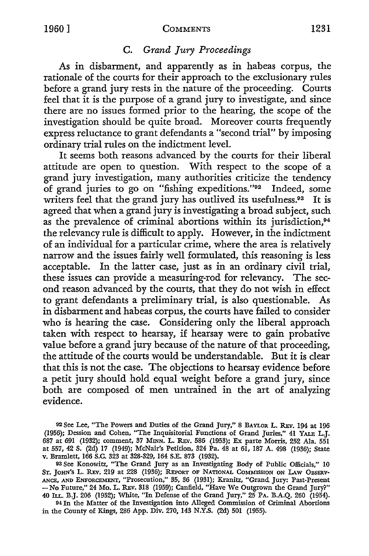### **C.** *Grand Jury Proceedings*

As in disbarment, and apparently as in habeas corpus, the rationale of the courts for their approach to the exclusionary rules before a grand jury rests in the nature of the proceeding. Courts feel that it is the purpose of a grand jury to investigate, and since there are no issues formed prior to the hearing, the scope of the investigation should be quite broad. Moreover courts frequently express reluctance to grant defendants a "second trial" by imposing ordinary trial rules on the indictment level.

It seems both reasons advanced by the courts for their liberal attitude are open to question. With respect to the scope of a grand jury investigation, many authorities criticize the tendency of grand juries to go on "fishing expeditions."92 Indeed, some writers feel that the grand jury has outlived its usefulness.<sup>93</sup> It is agreed that when a grand jury is investigating a broad subject, such as the prevalence of criminal abortions within its jurisdiction,94 the relevancy rule is difficult to apply. However, in the indictment of an individual for a particular crime, where the area is relatively narrow and the issues fairly well formulated, this reasoning is less acceptable. In the latter case, just as in an ordinary civil trial, these issues can provide a measuring-rod for relevancy. The second reason advanced by the courts, that they do not wish in effect to grant defendants a preliminary trial, is also questionable. As in disbarment and habeas corpus, the courts have failed to consider who is hearing the case. Considering only the liberal approach taken with respect to hearsay, if hearsay were to gain probative value before a grand jury because of the nature of that proceeding, the attitude of the courts would be understandable. But it is clear that this is not the case. The objections to hearsay evidence before a petit jury should hold equal weight before a grand jury, since both are composed of men untrained in the art of analyzing evidence.

94 In the Matter of the Investigation into Alleged Commission of Criminal Abortions in the County of Kings, 286 App. Div. 270, 143 N.Y.S. (2d) 501 (1955).

<sup>92</sup> See Lee, "The Powers and Duties of the Grand Jury," 8 BAYLOR L. REV. 194 at 196 (1956); Dession and Cohen, "The Inquisitorial Functions of Grand Juries," 41 YALE L.J. 687 at 691 (1932); comment, 37 MINN. L. REv. 586 (1953); Ex parte Morris, 252 Ala. 551 at 557, 42 S. (2d) 17 (1949); McNair's Petition, 324 Pa. 48 at 61, 187 A. 498 (1936); State v. Bramlett, 166 S.C. 323 at 328-329, 164 S.E. 873 (1932).

<sup>93</sup> See Konowitz, "The Grand Jury as an Investigating Body of Public Officials," IO ST. JOHN'S L. REV. 219 at 228 (1936); REPORT OF NATIONAL COMMISSION ON LAW OBSERV-ANCE, AND ENFORCEMENT, "Prosecution," 35, 36 (1931); Kranitz, "Grand Jury: Past-Present -No Future," 24 Mo. L. REv. 318 (1959); Canfield, "Have We Outgrown the Grand Jury?" 40 ILL. B.J. 206 (1952); White, "In Defense of the Grand Jury," 25 PA. B.A.Q. 260 (1954).